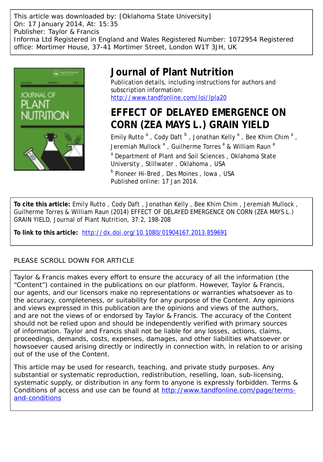This article was downloaded by: [Oklahoma State University] On: 17 January 2014, At: 15:35 Publisher: Taylor & Francis Informa Ltd Registered in England and Wales Registered Number: 1072954 Registered office: Mortimer House, 37-41 Mortimer Street, London W1T 3JH, UK



## **Journal of Plant Nutrition**

Publication details, including instructions for authors and subscription information: <http://www.tandfonline.com/loi/lpla20>

# **EFFECT OF DELAYED EMERGENCE ON CORN (ZEA MAYS L.) GRAIN YIELD**

Emily Rutto<sup>a</sup>, Cody Daft<sup>b</sup>, Jonathan Kelly<sup>a</sup>, Bee Khim Chim<sup>a</sup>, Jeremiah Mullock  $^{\mathsf{a}}$  , Guilherme Torres  $^{\mathsf{a}}$  & William Raun  $^{\mathsf{a}}$ <sup>a</sup> Department of Plant and Soil Sciences, Oklahoma State University , Stillwater , Oklahoma , USA **b** Pioneer Hi-Bred, Des Moines, Iowa, USA Published online: 17 Jan 2014.

**To cite this article:** Emily Rutto , Cody Daft , Jonathan Kelly , Bee Khim Chim , Jeremiah Mullock , Guilherme Torres & William Raun (2014) EFFECT OF DELAYED EMERGENCE ON CORN (ZEA MAYS L.) GRAIN YIELD, Journal of Plant Nutrition, 37:2, 198-208

**To link to this article:** <http://dx.doi.org/10.1080/01904167.2013.859691>

## PLEASE SCROLL DOWN FOR ARTICLE

Taylor & Francis makes every effort to ensure the accuracy of all the information (the "Content") contained in the publications on our platform. However, Taylor & Francis, our agents, and our licensors make no representations or warranties whatsoever as to the accuracy, completeness, or suitability for any purpose of the Content. Any opinions and views expressed in this publication are the opinions and views of the authors, and are not the views of or endorsed by Taylor & Francis. The accuracy of the Content should not be relied upon and should be independently verified with primary sources of information. Taylor and Francis shall not be liable for any losses, actions, claims, proceedings, demands, costs, expenses, damages, and other liabilities whatsoever or howsoever caused arising directly or indirectly in connection with, in relation to or arising out of the use of the Content.

This article may be used for research, teaching, and private study purposes. Any substantial or systematic reproduction, redistribution, reselling, loan, sub-licensing, systematic supply, or distribution in any form to anyone is expressly forbidden. Terms & Conditions of access and use can be found at [http://www.tandfonline.com/page/terms](http://www.tandfonline.com/page/terms-and-conditions)[and-conditions](http://www.tandfonline.com/page/terms-and-conditions)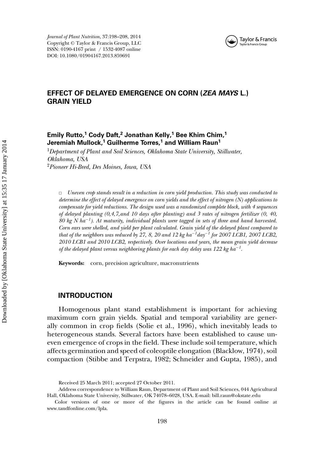



## **EFFECT OF DELAYED EMERGENCE ON CORN (***ZEA MAYS* **L.) GRAIN YIELD**

## **Emily Rutto,<sup>1</sup> Cody Daft,<sup>2</sup> Jonathan Kelly,<sup>1</sup> Bee Khim Chim,<sup>1</sup> Jeremiah Mullock,<sup>1</sup> Guilherme Torres,<sup>1</sup> and William Raun1**

<sup>1</sup>*Department of Plant and Soil Sciences, Oklahoma State University, Stillwater, Oklahoma, USA* <sup>2</sup>*Pioneer Hi-Bred, Des Moines, Iowa, USA*

✷ *Uneven crop stands result in a reduction in corn yield production. This study was conducted to determine the effect of delayed emergence on corn yields and the effect of nitrogen (N) applications to compensate for yield reductions. The design used was a randomized complete block, with 4 sequences of delayed planting (0,4,7,and 10 days after planting) and 3 rates of nitrogen fertilizer (0, 40, 80 kg N ha*−*<sup>1</sup> ). At maturity, individual plants were tagged in sets of three and hand harvested. Corn ears were shelled, and yield per plant calculated. Grain yield of the delayed plant compared to that of the neighbors was reduced by 27, 8, 20 and 12 kg ha*−*<sup>1</sup> day*−*<sup>1</sup> for 2007 LCB1, 2007 LCB2, 2010 LCB1 and 2010 LCB2, respectively. Over locations and years, the mean grain yield decrease of the delayed plant versus neighboring plants for each day delay was 122 kg ha*−*<sup>1</sup> .*

**Keywords:** corn, precision agriculture, macronutrients

#### **INTRODUCTION**

Homogenous plant stand establishment is important for achieving maximum corn grain yields. Spatial and temporal variability are generally common in crop fields (Solie et al., 1996), which inevitably leads to heterogeneous stands. Several factors have been established to cause uneven emergence of crops in the field. These include soil temperature, which affects germination and speed of coleoptile elongation (Blacklow, 1974), soil compaction (Stibbe and Terpstra, 1982; Schneider and Gupta, 1985), and

Received 25 March 2011; accepted 27 October 2011.

Address correspondence to William Raun, Department of Plant and Soil Sciences, 044 Agricultural Hall, Oklahoma State University, Stillwater, OK 74078–6028, USA. E-mail: bill.raun@okstate.edu

Color versions of one or more of the figures in the article can be found online at www.tandfonline.com/lpla.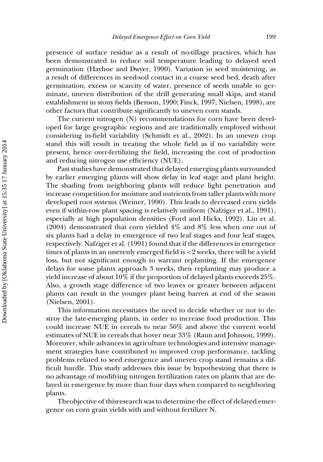presence of surface residue as a result of no-tillage practices, which has been demonstrated to reduce soil temperature leading to delayed seed germination (Hayhoe and Dwyer, 1990). Variation in seed moistening, as a result of differences in seed-soil contact in a coarse seed bed, death after germination, excess or scarcity of water, presence of seeds unable to germinate, uneven distribution of the drill generating small skips, and stand establishment in stony fields (Benson, 1990; Finck, 1997; Nielsen, 1998), are other factors that contribute significantly to uneven corn stands.

The current nitrogen (N) recommendations for corn have been developed for large geographic regions and are traditionally employed without considering in-field variability (Schmidt et al., 2002). In an uneven crop stand this will result in treating the whole field as if no variability were present, hence over-fertilizing the field, increasing the cost of production and reducing nitrogen use efficiency (NUE).

Past studies have demonstrated that delayed emerging plants surrounded by earlier emerging plants will show delay in leaf stage and plant height. The shading from neighboring plants will reduce light penetration and increase competition for moisture and nutrients from taller plants with more developed root systems (Weiner, 1990). This leads to decreased corn yields even if within-row plant spacing is relatively uniform (Nafziger et al., 1991), especially at high population densities (Ford and Hicks, 1992). Liu et al. (2004) demonstrated that corn yielded 4% and 8% less when one out of six plants had a delay in emergence of two leaf stages and four leaf stages, respectively. Nafziger et al. (1991) found that if the differences in emergence times of plants in an unevenly emerged field is <2 weeks, there will be a yield loss, but not significant enough to warrant replanting. If the emergence delays for some plants approach 3 weeks, then replanting may produce a yield increase of about 10% if the proportion of delayed plants exceeds 25%. Also, a growth stage difference of two leaves or greater between adjacent plants can result in the younger plant being barren at end of the season (Nielsen, 2001).

This information necessitates the need to decide whether or not to destroy the late-emerging plants, in order to increase food production. This could increase NUE in cereals to near 50% and above the current world estimates of NUE in cereals that hover near 33% (Raun and Johnson, 1999). Moreover, while advances in agriculture technologies and intensive management strategies have contributed to improved crop performance, tackling problems related to seed emergence and uneven crop stand remains a difficult hurdle. This study addresses this issue by hypothesizing that there is no advantage of modifying nitrogen fertilization rates on plants that are delayed in emergence by more than four days when compared to neighboring plants.

Theobjective of thisresearch was to determine the effect of delayed emergence on corn grain yields with and without fertilizer N.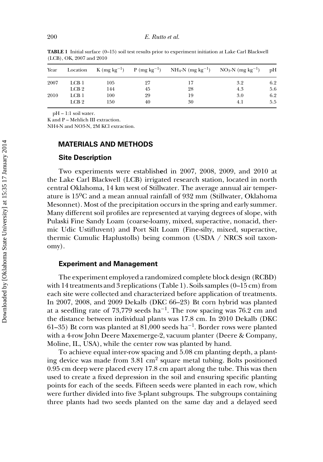| Year | Location         | K (mg kg <sup>-1</sup> ) |    | $P(mg kg^{-1})$ NH <sub>4</sub> -N (mg kg <sup>-1</sup> ) | $NO3-N$ (mg kg <sup>-1</sup> ) | pH  |
|------|------------------|--------------------------|----|-----------------------------------------------------------|--------------------------------|-----|
| 2007 | LCB <sub>1</sub> | 105                      | 27 |                                                           | 3.2                            | 6.2 |
|      | LCB <sub>2</sub> | 144                      | 45 | 28                                                        | 4.3                            | 5.6 |
| 2010 | LCB1             | 100                      | 29 | 19                                                        | 3.0                            | 6.2 |
|      | LCB 2            | 150                      | 40 | 30                                                        | 4.1                            | 5.5 |

**TABLE 1** Initial surface (0–15) soil test results prior to experiment initiation at Lake Carl Blackwell (LCB), OK, 2007 and 2010

pH – 1:1 soil water.

K and P – Mehlich III extraction.

NH4-N and NO3-N, 2M KCl extraction.

## **MATERIALS AND METHODS**

#### **Site Description**

Two experiments were establish**e**d in 2007, 2008, 2009, and 2010 at the Lake Carl Blackwell (LCB) irrigated research station, located in north central Oklahoma, 14 km west of Stillwater. The average annual air temperature is 15ºC and a mean annual rainfall of 932 mm (Stillwater, Oklahoma Mesonnet). Most of the precipitation occurs in the spring and early summer. Many different soil profiles are represented at varying degrees of slope, with Pulaski Fine Sandy Loam (coarse-loamy, mixed, superactive, nonacid, thermic Udic Ustifluvent) and Port Silt Loam (Fine-silty, mixed, superactive, thermic Cumulic Haplustolls) being common (USDA / NRCS soil taxonomy).

#### **Experiment and Management**

The experiment employed a randomized complete block design (RCBD) with 14 treatments and 3 replications (Table 1). Soils samples  $(0-15 \text{ cm})$  from each site were collected and characterized before application of treatments. In 2007, 2008, and 2009 Dekalb (DKC 66–23) Bt corn hybrid was planted at a seedling rate of 73,779 seeds ha<sup>-1</sup>. The row spacing was 76.2 cm and the distance between individual plants was 17.8 cm. In 2010 Dekalb (DKC 61–35) Bt corn was planted at 81,000 seeds ha<sup>-1</sup>. Border rows were planted with a 4-row John Deere Maxemerge-2, vacuum planter (Deere & Company, Moline, IL, USA), while the center row was planted by hand.

To achieve equal inter-row spacing and 5.08 cm planting depth, a planting device was made from 3.81 cm<sup>2</sup> square metal tubing. Bolts positioned 0.95 cm deep were placed every 17.8 cm apart along the tube. This was then used to create a fixed depression in the soil and ensuring specific planting points for each of the seeds. Fifteen seeds were planted in each row, which were further divided into five 3-plant subgroups. The subgroups containing three plants had two seeds planted on the same day and a delayed seed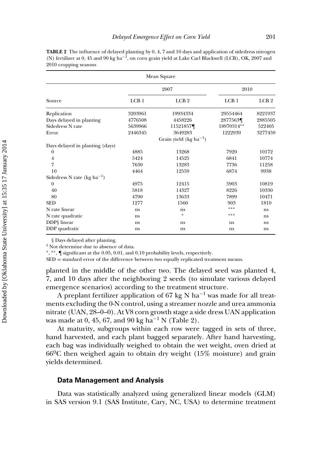| Mean Square                      |                  |                            |                  |                  |  |  |  |  |
|----------------------------------|------------------|----------------------------|------------------|------------------|--|--|--|--|
|                                  | 2007             |                            | 2010             |                  |  |  |  |  |
| Source                           | LCB <sub>1</sub> | LCB <sub>2</sub>           | LCB <sub>1</sub> | LCB <sub>2</sub> |  |  |  |  |
| Replication                      | 3203961          | 19934334                   | 29554464         | 8221937          |  |  |  |  |
| Days delayed in planting         | 4776508          | 4458226                    | 2877563¶         | 2885505          |  |  |  |  |
| Sidedress N rate                 | 5639966          | 11521857¶                  | 18970314**       | 522405           |  |  |  |  |
| Error                            | 2446345          | 3649283                    | 1222939          | 3277459          |  |  |  |  |
|                                  |                  | Grain yield $(kg ha^{-1})$ |                  |                  |  |  |  |  |
| Days delayed in planting (days)  |                  |                            |                  |                  |  |  |  |  |
| 0                                | 4885             | 13268                      | 7920             | 10172            |  |  |  |  |
| $\overline{4}$                   | 5424             | 14525                      | 6841             | 10774            |  |  |  |  |
| 7                                | 7630             | 13283                      | 7736             | 11258            |  |  |  |  |
| 10                               | 4464             | 12559                      | 6874             | 9938             |  |  |  |  |
| Sidedress N rate (kg $ha^{-1}$ ) |                  |                            |                  |                  |  |  |  |  |
| $\mathbf{0}$                     | 4975             | 12415                      | 5903             | 10819            |  |  |  |  |
| 40                               | 5818             | 14327                      | 8226             | 10330            |  |  |  |  |
| 80                               | 4790             | 13633                      | 7899             | 10471            |  |  |  |  |
| <b>SED</b>                       | 1277             | 1560                       | 903              | 1810             |  |  |  |  |
| N rate linear                    | ns               | ns                         | ***              | ns               |  |  |  |  |
| N rate quadratic                 | ns               | $\ast$                     | ***              | ns               |  |  |  |  |
| DDP§ linear                      | ns               | ns                         | ns               | ns               |  |  |  |  |
| DDP quadratic                    | ns               | ns                         | ns               | ns               |  |  |  |  |

**TABLE 2** The influence of delayed planting by 0, 4, 7 and 10 days and application of sidedress nitrogen (N) fertilizer at 0, 45 and 90 kg ha−1, on corn grain yield at Lake Carl Blackwell (LCB), OK, 2007 and 2010 cropping seasons

§ Days delayed after planting.

 $^\delta$  Not determine due to absence of data.

∗, ∗∗, ¶ significant at the 0.05, 0.01, and 0.10 probability levels, respectively.

SED = standard error of the difference between two equally replicated treatment means.

planted in the middle of the other two. The delayed seed was planted 4, 7, and 10 days after the neighboring 2 seeds (to simulate various delayed emergence scenarios) according to the treatment structure.

A preplant fertilizer application of 67 kg N ha<sup>-1</sup> was made for all treatments excluding the 0-N control, using a streamer nozzle and urea ammonia nitrate (UAN, 28–0–0). At V8 corn growth stage a side dress UAN application was made at 0, 45, 67, and 90 kg ha<sup>-1</sup> N (Table 2).

At maturity, subgroups within each row were tagged in sets of three, hand harvested, and each plant bagged separately. After hand harvesting, each bag was individually weighed to obtain the wet weight, oven dried at  $66^{\circ}$ C then weighed again to obtain dry weight (15% moisture) and grain yields determined.

#### **Data Management and Analysis**

Data was statistically analyzed using generalized linear models (GLM) in SAS version 9.1 (SAS Institute, Cary, NC, USA) to determine treatment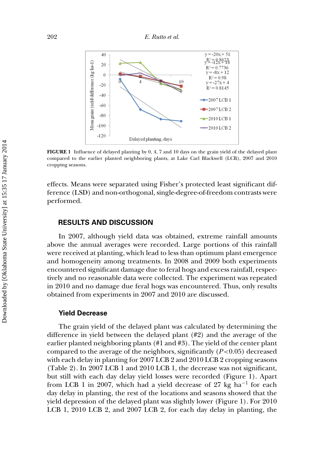

**FIGURE 1** Influence of delayed planting by 0, 4, 7 and 10 days on the grain yield of the delayed plant compared to the earlier planted neighboring plants, at Lake Carl Blackwell (LCB), 2007 and 2010 cropping seasons.

effects. Means were separated using Fisher's protected least significant difference (LSD) and non-orthogonal, single-degree-of-freedom contrasts were performed.

## **RESULTS AND DISCUSSION**

In 2007, although yield data was obtained, extreme rainfall amounts above the annual averages were recorded. Large portions of this rainfall were received at planting, which lead to less than optimum plant emergence and homogeneity among treatments. In 2008 and 2009 both experiments encountered significant damage due to feral hogs and excess rainfall, respectively and no reasonable data were collected. The experiment was repeated in 2010 and no damage due feral hogs was encountered. Thus, only results obtained from experiments in 2007 and 2010 are discussed.

#### **Yield Decrease**

The grain yield of the delayed plant was calculated by determining the difference in yield between the delayed plant (#2) and the average of the earlier planted neighboring plants (#1 and #3). The yield of the center plant compared to the average of the neighbors, significantly  $(P<0.05)$  decreased with each delay in planting for 2007 LCB 2 and 2010 LCB 2 cropping seasons (Table 2). In 2007 LCB 1 and 2010 LCB 1, the decrease was not significant, but still with each day delay yield losses were recorded (Figure 1). Apart from LCB 1 in 2007, which had a yield decrease of 27 kg ha−<sup>1</sup> for each day delay in planting, the rest of the locations and seasons showed that the yield depression of the delayed plant was slightly lower (Figure 1). For 2010 LCB 1, 2010 LCB 2, and 2007 LCB 2, for each day delay in planting, the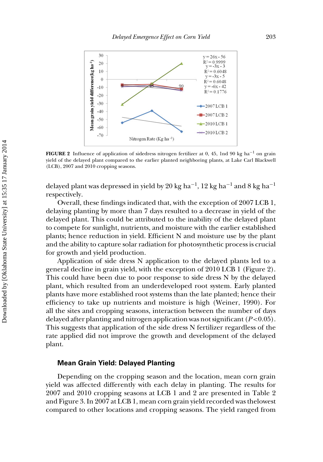

**FIGURE 2** Influence of application of sidedress nitrogen fertilizer at 0, 45, 1nd 90 kg ha<sup>−1</sup> on grain yield of the delayed plant compared to the earlier planted neighboring plants, at Lake Carl Blackwell (LCB), 2007 and 2010 cropping seasons.

delayed plant was depressed in yield by 20 kg ha<sup>-1</sup>, 12 kg ha<sup>-1</sup> and 8 kg ha<sup>-1</sup> respectively.

Overall, these findings indicated that, with the exception of 2007 LCB 1, delaying planting by more than 7 days resulted to a decrease in yield of the delayed plant. This could be attributed to the inability of the delayed plant to compete for sunlight, nutrients, and moisture with the earlier established plants; hence reduction in yield. Efficient N and moisture use by the plant and the ability to capture solar radiation for photosynthetic process is crucial for growth and yield production.

Application of side dress N application to the delayed plants led to a general decline in grain yield, with the exception of 2010 LCB 1 (Figure 2). This could have been due to poor response to side dress N by the delayed plant, which resulted from an underdeveloped root system. Early planted plants have more established root systems than the late planted; hence their efficiency to take up nutrients and moisture is high (Weiner, 1990). For all the sites and cropping seasons, interaction between the number of days delayed after planting and nitrogen application was not significant (*P*<0.05). This suggests that application of the side dress N fertilizer regardless of the rate applied did not improve the growth and development of the delayed plant.

## **Mean Grain Yield: Delayed Planting**

Depending on the cropping season and the location, mean corn grain yield was affected differently with each delay in planting. The results for 2007 and 2010 cropping seasons at LCB 1 and 2 are presented in Table 2 and Figure 3. In 2007 at LCB 1, mean corn grain yield recorded was thelowest compared to other locations and cropping seasons. The yield ranged from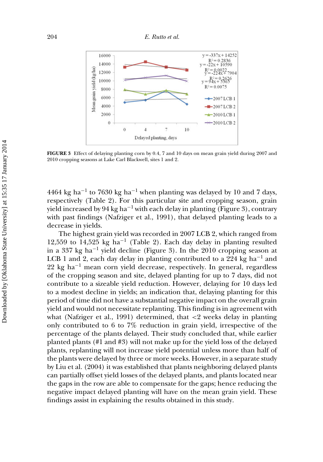

**FIGURE 3** Effect of delaying planting corn by 0.4, 7 and 10 days on mean grain yield during 2007 and 2010 cropping seasons at Lake Carl Blackwell, sites 1 and 2.

4464 kg ha<sup>-1</sup> to 7630 kg ha<sup>-1</sup> when planting was delayed by 10 and 7 days, respectively (Table 2). For this particular site and cropping season, grain yield increased by 94 kg ha<sup>-1</sup> with each delay in planting (Figure 3), contrary with past findings (Nafziger et al., 1991), that delayed planting leads to a decrease in yields.

The highest grain yield was recorded in 2007 LCB 2, which ranged from 12,559 to 14,525 kg ha<sup>-1</sup> (Table 2). Each day delay in planting resulted in a 337 kg ha<sup>-1</sup> yield decline (Figure 3). In the 2010 cropping season at LCB 1 and 2, each day delay in planting contributed to a 224 kg ha−<sup>1</sup> and  $22 \text{ kg } \text{ha}^{-1}$  mean corn yield decrease, respectively. In general, regardless of the cropping season and site, delayed planting for up to 7 days, did not contribute to a sizeable yield reduction. However, delaying for 10 days led to a modest decline in yields; an indication that, delaying planting for this period of time did not have a substantial negative impact on the overall grain yield and would not necessitate replanting. This finding is in agreement with what (Nafziger et al., 1991) determined, that <2 weeks delay in planting only contributed to 6 to 7% reduction in grain yield, irrespective of the percentage of the plants delayed. Their study concluded that, while earlier planted plants (#1 and #3) will not make up for the yield loss of the delayed plants, replanting will not increase yield potential unless more than half of the plants were delayed by three or more weeks. However, in a separate study by Liu et al. (2004) it was established that plants neighboring delayed plants can partially offset yield losses of the delayed plants, and plants located near the gaps in the row are able to compensate for the gaps; hence reducing the negative impact delayed planting will have on the mean grain yield. These findings assist in explaining the results obtained in this study.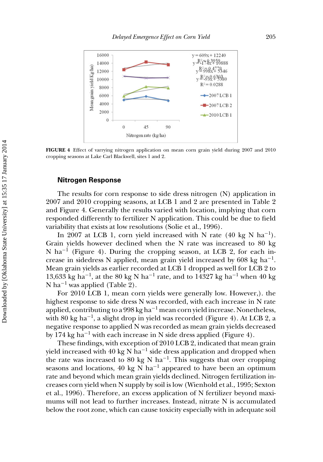

**FIGURE 4** Effect of varrying nitrogen application on mean corn grain yield during 2007 and 2010 cropping seasons at Lake Carl Blackwell, sites 1 and 2.

#### **Nitrogen Response**

The results for corn response to side dress nitrogen (N) application in 2007 and 2010 cropping seasons, at LCB 1 and 2 are presented in Table 2 and Figure 4. Generally the results varied with location, implying that corn responded differently to fertilizer N application. This could be due to field variability that exists at low resolutions (Solie et al., 1996).

In 2007 at LCB 1, corn yield increased with N rate (40 kg N ha<sup>-1</sup>). Grain yields however declined when the N rate was increased to 80 kg N ha−<sup>1</sup> (Figure 4). During the cropping season, at LCB 2, for each increase in sidedress N applied, mean grain yield increased by 608 kg ha<sup>-1</sup>. Mean grain yields as earlier recorded at LCB 1 dropped as well for LCB 2 to 13,633 kg ha<sup>-1</sup>, at the 80 kg N ha<sup>-1</sup> rate, and to 14327 kg ha<sup>-1</sup> when 40 kg N ha<sup>-1</sup> was applied (Table 2).

For 2010 LCB 1, mean corn yields were generally low. However,). the highest response to side dress N was recorded, with each increase in N rate applied, contributing to a 998 kg ha<sup>-1</sup> mean corn yield increase. Nonetheless, with 80 kg ha<sup>-1</sup>, a slight drop in yield was recorded (Figure 4). At LCB 2, a negative response to applied N was recorded as mean grain yields decreased by 174 kg ha−<sup>1</sup> with each increase in N side dress applied (Figure 4).

These findings, with exception of 2010 LCB 2, indicated that mean grain yield increased with 40 kg N ha<sup>-1</sup> side dress application and dropped when the rate was increased to 80 kg N ha<sup>-1</sup>. This suggests that over cropping seasons and locations, 40 kg N ha<sup>-1</sup> appeared to have been an optimum rate and beyond which mean grain yields declined. Nitrogen fertilization increases corn yield when N supply by soil is low (Wienhold et al., 1995; Sexton et al., 1996). Therefore, an excess application of N fertilizer beyond maximums will not lead to further increases. Instead, nitrate N is accumulated below the root zone, which can cause toxicity especially with in adequate soil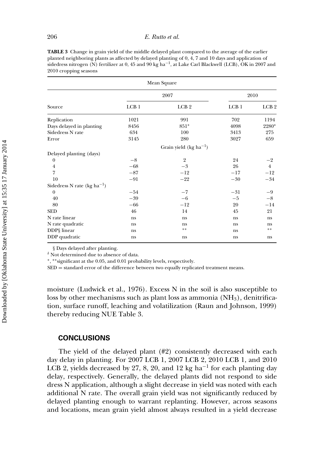**TABLE 3** Change in grain yield of the middle delayed plant compared to the average of the earlier planted neighboring plants as affected by delayed planting of 0, 4, 7 and 10 days and application of sidedress nitrogen (N) fertilizer at 0, 45 and 90 kg ha<sup>-1</sup>, at Lake Carl Blackwell (LCB), OK in 2007 and 2010 cropping seasons

| Mean Square                      |       |                            |                  |                  |  |  |  |  |
|----------------------------------|-------|----------------------------|------------------|------------------|--|--|--|--|
|                                  |       | 2007                       | 2010             |                  |  |  |  |  |
| Source                           | LCB1  | LCB <sub>2</sub>           | LCB <sub>1</sub> | LCB <sub>2</sub> |  |  |  |  |
| Replication                      | 1021  | 991                        | 702              | 1194             |  |  |  |  |
| Days delayed in planting         | 8456  | 851*                       | 4098             | 2280*            |  |  |  |  |
| Sidedress N rate                 | 634   | 100                        | 3413             | 275              |  |  |  |  |
| Error                            | 3145  | 280                        | 3027             | 659              |  |  |  |  |
|                                  |       | Grain yield $(kg ha^{-1})$ |                  |                  |  |  |  |  |
| Delayed planting (days)          |       |                            |                  |                  |  |  |  |  |
| $\boldsymbol{0}$                 | $-8$  | $\overline{2}$             | 24               | $-2$             |  |  |  |  |
| $\overline{4}$                   | $-68$ | $-3$                       | 26               | $\overline{4}$   |  |  |  |  |
| 7                                | $-87$ | $-12$                      | $-17$            | $-12$            |  |  |  |  |
| 10                               | $-91$ | $-22$                      | $-30$            | $-34$            |  |  |  |  |
| Sidedress N rate (kg $ha^{-1}$ ) |       |                            |                  |                  |  |  |  |  |
| $\boldsymbol{0}$                 | $-54$ | $-7$                       | $-31$            | $-9$             |  |  |  |  |
| 40                               | $-39$ | $-6$                       | $-5$             | $-8$             |  |  |  |  |
| 80                               | $-66$ | $-12$                      | 20               | $-14$            |  |  |  |  |
| <b>SED</b>                       | 46    | 14                         | 45               | 21               |  |  |  |  |
| N rate linear                    | ns    | ns                         | ns               | ns               |  |  |  |  |
| N rate quadratic                 | ns    | ns                         | ns               | ns               |  |  |  |  |
| DDP§ linear                      | ns    | **                         | <sub>ns</sub>    | **               |  |  |  |  |
| DDP quadratic                    | ns    | ns                         | ns               | ns               |  |  |  |  |

§ Days delayed after planting.

 $^\delta$  Not determined due to absence of data.

∗, ∗∗significant at the 0.05, and 0.01 probability levels, respectively.

SED = standard error of the difference between two equally replicated treatment means.

moisture (Ludwick et al., 1976). Excess N in the soil is also susceptible to loss by other mechanisms such as plant loss as ammonia  $(NH<sub>3</sub>)$ , denitrification, surface runoff, leaching and volatilization (Raun and Johnson, 1999) thereby reducing NUE Table 3.

#### **CONCLUSIONS**

The yield of the delayed plant (#2) consistently decreased with each day delay in planting. For 2007 LCB 1, 2007 LCB 2, 2010 LCB 1, and 2010 LCB 2, yields decreased by 27, 8, 20, and 12 kg ha−<sup>1</sup> for each planting day delay, respectively. Generally, the delayed plants did not respond to side dress N application, although a slight decrease in yield was noted with each additional N rate. The overall grain yield was not significantly reduced by delayed planting enough to warrant replanting. However, across seasons and locations, mean grain yield almost always resulted in a yield decrease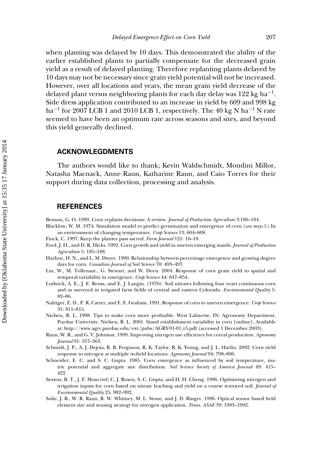when planting was delayed by 10 days. This demonstrated the ability of the earlier established plants to partially compensate for the decreased grain yield as a result of delayed planting. Therefore replanting plants delayed by 10 days may not be necessary since grain yield potential will not be increased. However, over all locations and years, the mean grain yield decrease of the delayed plant versus neighboring plants for each day delay was 122 kg ha<sup>-1</sup>. Side dress application contributed to an increase in yield by 609 and 998 kg ha−<sup>1</sup> for 2007 LCB 1 and 2010 LCB 1, respectively. The 40 kg N ha−<sup>1</sup> N rate seemed to have been an optimum rate across seasons and sites, and beyond this yield generally declined.

## **ACKNOWLEGDMENTS**

The authors would like to thank; Kevin Waldschmidt, Mondini Millor, Natasha Macnack, Anne Raun, Katharine Raun, and Caio Torres for their support during data collection, processing and analysis.

#### **REFERENCES**

- Benson, G. O. 1990. Corn replants decisions: A review. *Journal of Production Agriculture* 3:180–184.
- Blacklow, W. M. 1974. Simulation model to predict germination and emergence of corn (*zea mays* l.) In an environment of changing temperature. *Crop Science* 13: 604–608.
- Finck, C. 1997. Keep the planter pass sacred. *Farm Journal* 121: 16–18.
- Ford, J. H., and D. R. Hicks. 1992. Corn growth and yield in uneven emerging stands. *Journal of Production Agriculture* 5: 185–188.
- Hayhoe, H. N., and L. M. Dwyer. 1990. Relationship between percentage emergence and growing degree days for corn. *Canadian Journal of Soil Science* 70: 493–497.
- Liu, W., M. Tollenaar., G. Stewart, and W. Deen. 2004. Response of corn grain yield to spatial and temporal variability in emergence. *Crop Science* 44: 847–854.
- Ludwick, A. E., J. E. Reuss, and E. J. Langin. (1976). Soil nitrates following four years continuous corn and as surveyed in irrigated farm fields of central and eastern Colorado. *Environmental Quality* 5: 82–86.
- Nafziger, E. D., P. R. Carter, and E. E. Graham. 1991. Response of corn to uneven emergence. *Crop Science* 31: 811–815.
- Nielsen, R. L. 1998. Tips to make corn more profitable. West Lafayette, IN: Agronomy Department, Purdue University. Nielsen, R. L. 2001. Stand establishment variability in corn [online]. Available at: http://www.agry.purdue.edu/ext/pubs/AGRY-91-01 v5.pdf (accessed 1 December 2003).
- Raun, W. R., and G. V. Johnson. 1999. Improving nitrogen use efficiency for cereal production. *Agronomy Journal* 91: 357–363.
- Schmidt, J. P., A. J. Dejoia, R. B. Ferguson, R. K. Taylor, R. K. Young, and J. L. Havlin. 2002. Corn yield response to nitrogen at multiple in-field locations. *Agronomy Journal* 94: 798–806.
- Schneider, E. C. and S. C. Gupta. 1985. Corn emergence as influenced by soil temperature, matric potential and aggregate size distribution. *Soil Science Society of America Journal* 49: 415– 422.
- Sexton, B. T., J. F. Moncrief, C. J. Rosen, S. C. Gupta, and H. H. Cheng. 1996. Optimizing nitrogen and irrigation inputs for corn based on nitrate leaching and yield on a course textured soil. *Journal of Environmental Quality* 25: 982–992.
- Solie, J. B., W. R. Raun, R. W. Whitney, M. L. Stone, and J. D. Ringer. 1996. Optical sensor based field element size and sensing strategy for nitrogen application. *Trans. ASAE* 39: 1983–1992.